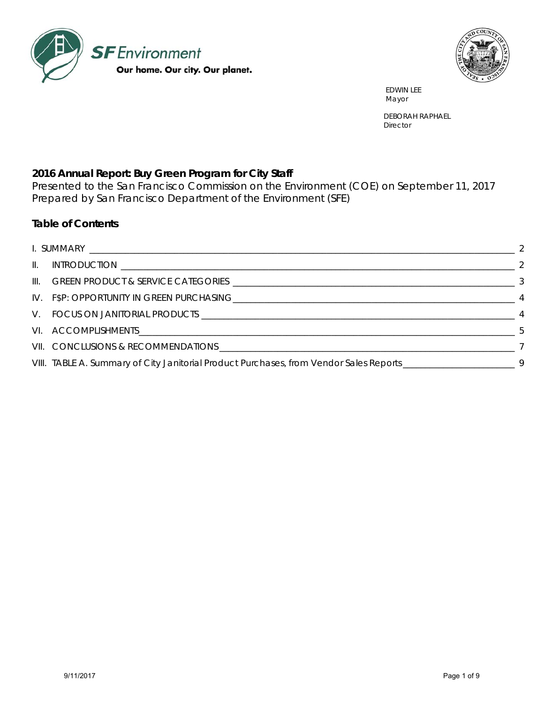



 EDWIN LEE Mayor and the contract of the contract of the contract of the contract of the contract of the contract of the contract of the contract of the contract of the contract of the contract of the contract of the contract of the

> DEBORAH RAPHAEL **Director**

# **2016 Annual Report: Buy Green Program for City Staff**

Presented to the San Francisco Commission on the Environment (COE) on September 11, 2017 Prepared by San Francisco Department of the Environment (SFE)

#### **Table of Contents**

| VI. ACCOMPLISHMENTS. 5                                                                                           |  |
|------------------------------------------------------------------------------------------------------------------|--|
|                                                                                                                  |  |
| VIII. TABLE A. Summary of City Janitorial Product Purchases, from Vendor Sales Reports ________________________9 |  |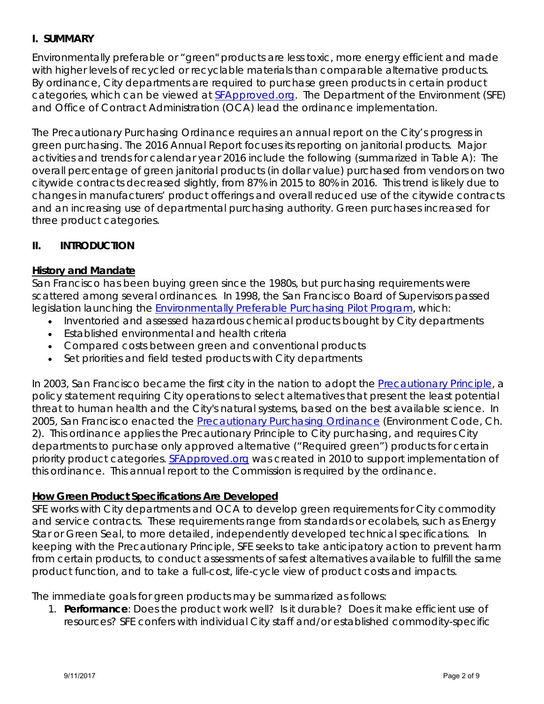## **I. SUMMARY**

Environmentally preferable or "green" products are less toxic, more energy efficient and made with higher levels of recycled or recyclable materials than comparable alternative products. By ordinance, City departments are required to purchase green products in certain product categories, which can be viewed at SFApproved.org. The Department of the Environment (SFE) and Office of Contract Administration (OCA) lead the ordinance implementation.

The Precautionary Purchasing Ordinance requires an annual report on the City's progress in green purchasing. The 2016 Annual Report focuses its reporting on janitorial products. Major activities and trends for calendar year 2016 include the following (summarized in Table A): The overall percentage of green janitorial products (in dollar value) purchased from vendors on two citywide contracts decreased slightly, from 87% in 2015 to 80% in 2016. This trend is likely due to changes in manufacturers' product offerings and overall reduced use of the citywide contracts and an increasing use of departmental purchasing authority. Green purchases increased for three product categories.

#### **II. INTRODUCTION**

#### **History and Mandate**

San Francisco has been buying green since the 1980s, but purchasing requirements were scattered among several ordinances. In 1998, the San Francisco Board of Supervisors passed legislation launching the Environmentally Preferable Purchasing Pilot Program, which:

- Inventoried and assessed hazardous chemical products bought by City departments
- Established environmental and health criteria
- Compared costs between green and conventional products
- Set priorities and field tested products with City departments

In 2003, San Francisco became the first city in the nation to adopt the Precautionary Principle, a policy statement requiring City operations to select alternatives that present the least potential threat to human health and the City's natural systems, based on the best available science. In 2005, San Francisco enacted the Precautionary Purchasing Ordinance (Environment Code, Ch. 2). This ordinance applies the Precautionary Principle to City purchasing, and requires City departments to purchase only approved alternative ("Required green") products for certain priority product categories. SFApproved.org was created in 2010 to support implementation of this ordinance. This annual report to the Commission is required by the ordinance.

#### **How Green Product Specifications Are Developed**

SFE works with City departments and OCA to develop green requirements for City commodity and service contracts. These requirements range from standards or ecolabels, such as Energy Star or Green Seal, to more detailed, independently developed technical specifications. In keeping with the Precautionary Principle, SFE seeks to take anticipatory action to prevent harm from certain products, to conduct assessments of safest alternatives available to fulfill the same product function, and to take a full-cost, life-cycle view of product costs and impacts.

The immediate goals for green products may be summarized as follows:

1. **Performance**: Does the product work well? Is it durable? Does it make efficient use of resources? SFE confers with individual City staff and/or established commodity-specific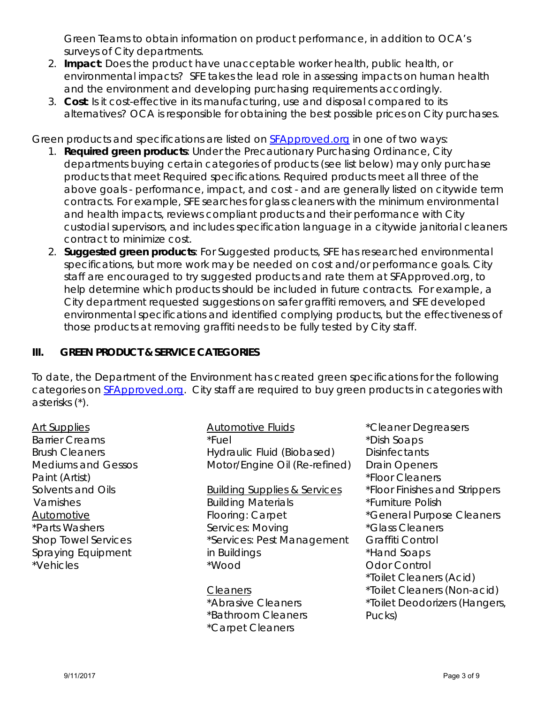Green Teams to obtain information on product performance, in addition to OCA's surveys of City departments.

- 2. **Impact**: Does the product have unacceptable worker health, public health, or environmental impacts? SFE takes the lead role in assessing impacts on human health and the environment and developing purchasing requirements accordingly.
- 3. **Cost**: Is it cost-effective in its manufacturing, use and disposal compared to its alternatives? OCA is responsible for obtaining the best possible prices on City purchases.

Green products and specifications are listed on **SFApproved.org** in one of two ways:

- 1. **Required green products**: Under the Precautionary Purchasing Ordinance, City departments buying certain categories of products (see list below) may only purchase products that meet Required specifications. Required products meet all three of the above goals - performance, impact, and cost - and are generally listed on citywide term contracts. For example, SFE searches for glass cleaners with the minimum environmental and health impacts, reviews compliant products and their performance with City custodial supervisors, and includes specification language in a citywide janitorial cleaners contract to minimize cost.
- 2. **Suggested green products**: For Suggested products, SFE has researched environmental specifications, but more work may be needed on cost and/or performance goals. City staff are encouraged to try suggested products and rate them at SFApproved.org, to help determine which products should be included in future contracts. For example, a City department requested suggestions on safer graffiti removers, and SFE developed environmental specifications and identified complying products, but the effectiveness of those products at removing graffiti needs to be fully tested by City staff.

# **III. GREEN PRODUCT & SERVICE CATEGORIES**

To date, the Department of the Environment has created green specifications for the following categories on **SFApproved.org.** City staff are required to buy green products in categories with asterisks (\*).

Art Supplies Barrier Creams Brush Cleaners Mediums and Gessos Paint (Artist) Solvents and Oils Varnishes Automotive \*Parts Washers Shop Towel Services Spraying Equipment \*Vehicles

Automotive Fluids \*Fuel Hydraulic Fluid (Biobased) Motor/Engine Oil (Re-refined)

Building Supplies & Services Building Materials Flooring: Carpet Services: Moving \*Services: Pest Management in Buildings \*Wood

**Cleaners** \*Abrasive Cleaners \*Bathroom Cleaners \*Carpet Cleaners

\*Cleaner Degreasers \*Dish Soaps **Disinfectants** Drain Openers \*Floor Cleaners \*Floor Finishes and Strippers \*Furniture Polish \*General Purpose Cleaners \*Glass Cleaners Graffiti Control \*Hand Soaps Odor Control \*Toilet Cleaners (Acid) \*Toilet Cleaners (Non-acid) \*Toilet Deodorizers (Hangers, Pucks)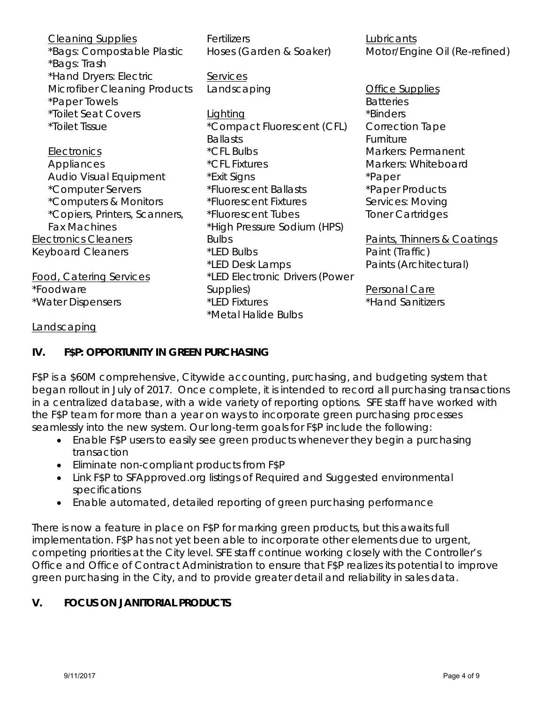| <b>Cleaning Supplies</b>            | Fertilizers                    | Lubricants                    |  |  |  |  |
|-------------------------------------|--------------------------------|-------------------------------|--|--|--|--|
| *Bags: Compostable Plastic          | Hoses (Garden & Soaker)        | Motor/Engine Oil (Re-refined) |  |  |  |  |
| *Bags: Trash                        |                                |                               |  |  |  |  |
| *Hand Dryers: Electric              | Services                       |                               |  |  |  |  |
| <b>Microfiber Cleaning Products</b> | Landscaping                    | Office Supplies               |  |  |  |  |
| *Paper Towels                       |                                | <b>Batteries</b>              |  |  |  |  |
| *Toilet Seat Covers                 | Lighting                       | *Binders                      |  |  |  |  |
| <i><b>*Toilet Tissue</b></i>        | *Compact Fluorescent (CFL)     | <b>Correction Tape</b>        |  |  |  |  |
|                                     | <b>Ballasts</b>                | Furniture                     |  |  |  |  |
| Electronics                         | *CFL Bulbs                     | Markers: Permanent            |  |  |  |  |
| Appliances                          | *CFL Fixtures                  | Markers: Whiteboard           |  |  |  |  |
| Audio Visual Equipment              | *Exit Signs                    | *Paper                        |  |  |  |  |
| *Computer Servers                   | *Fluorescent Ballasts          | *Paper Products               |  |  |  |  |
| *Computers & Monitors               | *Fluorescent Fixtures          | Services: Moving              |  |  |  |  |
| *Copiers, Printers, Scanners,       | *Fluorescent Tubes             | <b>Toner Cartridges</b>       |  |  |  |  |
| <b>Fax Machines</b>                 | *High Pressure Sodium (HPS)    |                               |  |  |  |  |
| <b>Electronics Cleaners</b>         | <b>Bulbs</b>                   | Paints, Thinners & Coatings   |  |  |  |  |
| <b>Keyboard Cleaners</b>            | *LED Bulbs                     | Paint (Traffic)               |  |  |  |  |
|                                     | *LED Desk Lamps                | Paints (Architectural)        |  |  |  |  |
| <b>Food, Catering Services</b>      | *LED Electronic Drivers (Power |                               |  |  |  |  |
| *Foodware                           | Supplies)                      | Personal Care                 |  |  |  |  |
| *Water Dispensers                   | *LED Fixtures                  | *Hand Sanitizers              |  |  |  |  |
|                                     | *Metal Halide Bulbs            |                               |  |  |  |  |
|                                     |                                |                               |  |  |  |  |

#### **Landscaping**

#### **IV. F\$P: OPPORTUNITY IN GREEN PURCHASING**

F\$P is a \$60M comprehensive, Citywide accounting, purchasing, and budgeting system that began rollout in July of 2017. Once complete, it is intended to record all purchasing transactions in a centralized database, with a wide variety of reporting options. SFE staff have worked with the F\$P team for more than a year on ways to incorporate green purchasing processes seamlessly into the new system. Our long-term goals for F\$P include the following:

- Enable F\$P users to easily see green products whenever they begin a purchasing transaction
- Eliminate non-compliant products from F\$P
- Link F\$P to SFApproved.org listings of Required and Suggested environmental specifications
- Enable automated, detailed reporting of green purchasing performance

There is now a feature in place on F\$P for marking green products, but this awaits full implementation. F\$P has not yet been able to incorporate other elements due to urgent, competing priorities at the City level. SFE staff continue working closely with the Controller's Office and Office of Contract Administration to ensure that F\$P realizes its potential to improve green purchasing in the City, and to provide greater detail and reliability in sales data.

#### **V. FOCUS ON JANITORIAL PRODUCTS**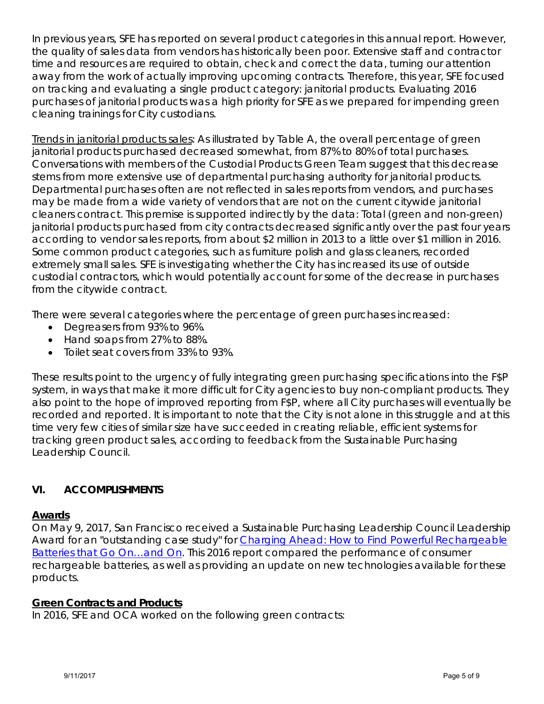In previous years, SFE has reported on several product categories in this annual report. However, the quality of sales data from vendors has historically been poor. Extensive staff and contractor time and resources are required to obtain, check and correct the data, turning our attention away from the work of actually improving upcoming contracts. Therefore, this year, SFE focused on tracking and evaluating a single product category: janitorial products. Evaluating 2016 purchases of janitorial products was a high priority for SFE as we prepared for impending green cleaning trainings for City custodians.

Trends in janitorial products sales: As illustrated by Table A, the overall percentage of green janitorial products purchased decreased somewhat, from 87% to 80% of total purchases. Conversations with members of the Custodial Products Green Team suggest that this decrease stems from more extensive use of departmental purchasing authority for janitorial products. Departmental purchases often are not reflected in sales reports from vendors, and purchases may be made from a wide variety of vendors that are not on the current citywide janitorial cleaners contract. This premise is supported indirectly by the data: Total (green and non-green) janitorial products purchased from city contracts decreased significantly over the past four years *according to vendor sales reports*, from about \$2 million in 2013 to a little over \$1 million in 2016. Some common product categories, such as furniture polish and glass cleaners, recorded extremely small sales. SFE is investigating whether the City has increased its use of outside custodial contractors, which would potentially account for some of the decrease in purchases from the citywide contract.

There were several categories where the percentage of green purchases increased:

- Degreasers from 93% to 96%.
- Hand soaps from 27% to 88%.
- Toilet seat covers from 33% to 93%.

These results point to the urgency of fully integrating green purchasing specifications into the F\$P system, in ways that make it more difficult for City agencies to buy non-compliant products. They also point to the hope of improved reporting from F\$P, where *all* City purchases will eventually be recorded and reported. It is important to note that the City is not alone in this struggle and at this time very few cities of similar size have succeeded in creating reliable, efficient systems for tracking green product sales, according to feedback from the Sustainable Purchasing Leadership Council.

## **VI. ACCOMPLISHMENTS**

#### **Awards**

On May 9, 2017, San Francisco received a Sustainable Purchasing Leadership Council Leadership Award for an "outstanding case study" for *Charging Ahead: How to Find Powerful Rechargeable Batteries that Go On…and On.* This 2016 report compared the performance of consumer rechargeable batteries, as well as providing an update on new technologies available for these products.

## **Green Contracts and Products**

In 2016, SFE and OCA worked on the following green contracts: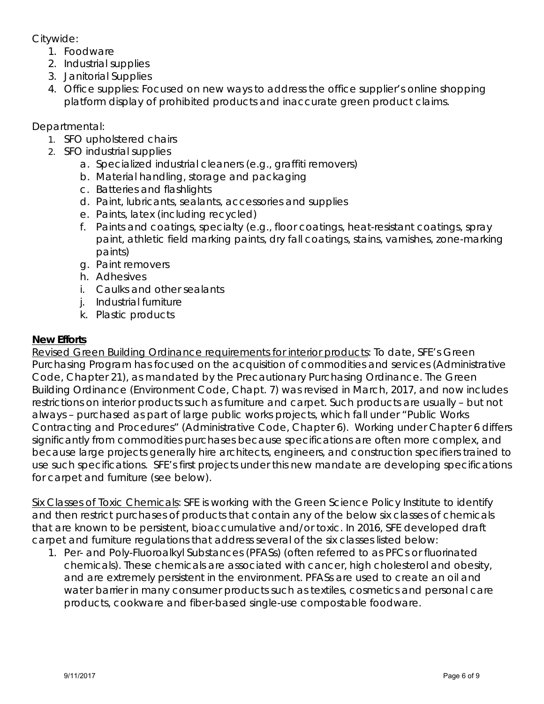Citywide:

- 1. Foodware
- 2. Industrial supplies
- 3. Janitorial Supplies
- 4. Office supplies: Focused on new ways to address the office supplier's online shopping platform display of prohibited products and inaccurate green product claims.

Departmental:

- 1. SFO upholstered chairs
- 2. SFO industrial supplies
	- a. Specialized industrial cleaners (e.g., graffiti removers)
	- b. Material handling, storage and packaging
	- c. Batteries and flashlights
	- d. Paint, lubricants, sealants, accessories and supplies
	- e. Paints, latex (including recycled)
	- f. Paints and coatings, specialty (e.g., floor coatings, heat-resistant coatings, spray paint, athletic field marking paints, dry fall coatings, stains, varnishes, zone-marking paints)
	- g. Paint removers
	- h. Adhesives
	- i. Caulks and other sealants
	- j. Industrial furniture
	- k. Plastic products

## **New Efforts**

Revised Green Building Ordinance requirements for interior products*:* To date, SFE's Green Purchasing Program has focused on the acquisition of commodities and services (Administrative Code, Chapter 21), as mandated by the Precautionary Purchasing Ordinance. The Green Building Ordinance (Environment Code, Chapt. 7) was revised in March, 2017, and now includes restrictions on interior products such as furniture and carpet. Such products are usually – but not always – purchased as part of large public works projects, which fall under "Public Works Contracting and Procedures" (Administrative Code, Chapter 6). Working under Chapter 6 differs significantly from commodities purchases because specifications are often more complex, and because large projects generally hire architects, engineers, and construction specifiers trained to use such specifications. SFE's first projects under this new mandate are developing specifications for carpet and furniture (see below).

Six Classes of Toxic Chemicals*:* SFE is working with the Green Science Policy Institute to identify and then restrict purchases of products that contain any of the below six classes of chemicals that are known to be persistent, bioaccumulative and/or toxic. In 2016, SFE developed draft carpet and furniture regulations that address several of the six classes listed below:

1. Per- and Poly-Fluoroalkyl Substances (PFASs) (often referred to as PFCs or fluorinated chemicals). These chemicals are associated with cancer, high cholesterol and obesity, and are extremely persistent in the environment. PFASs are used to create an oil and water barrier in many consumer products such as textiles, cosmetics and personal care products, cookware and fiber-based single-use compostable foodware.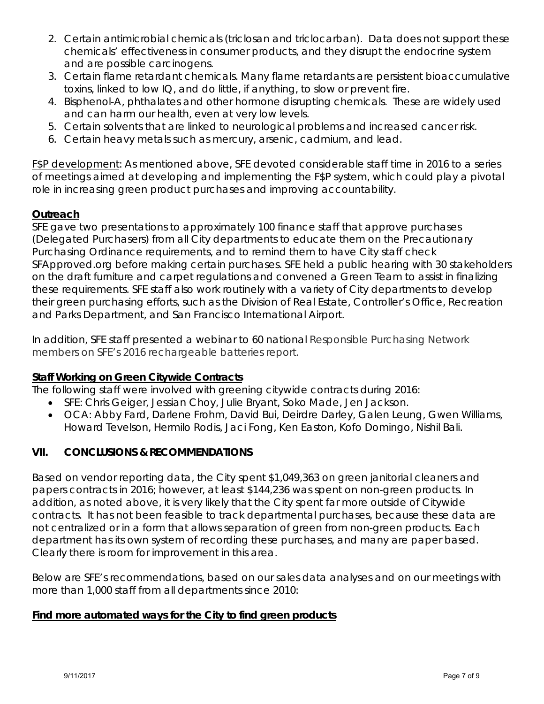- 2. Certain antimicrobial chemicals (triclosan and triclocarban). Data does not support these chemicals' effectiveness in consumer products, and they disrupt the endocrine system and are possible carcinogens.
- 3. Certain flame retardant chemicals. Many flame retardants are persistent bioaccumulative toxins, linked to low IQ, and do little, if anything, to slow or prevent fire.
- 4. Bisphenol-A, phthalates and other hormone disrupting chemicals. These are widely used and can harm our health, even at very low levels.
- 5. Certain solvents that are linked to neurological problems and increased cancer risk.
- 6. Certain heavy metals such as mercury, arsenic, cadmium, and lead.

F\$P development*:* As mentioned above, SFE devoted considerable staff time in 2016 to a series of meetings aimed at developing and implementing the F\$P system, which could play a pivotal role in increasing green product purchases and improving accountability.

# **Outreach**

SFE gave two presentations to approximately 100 finance staff that approve purchases (Delegated Purchasers) from all City departments to educate them on the Precautionary Purchasing Ordinance requirements, and to remind them to have City staff check SFApproved.org before making certain purchases. SFE held a public hearing with 30 stakeholders on the draft furniture and carpet regulations and convened a Green Team to assist in finalizing these requirements. SFE staff also work routinely with a variety of City departments to develop their green purchasing efforts, such as the Division of Real Estate, Controller's Office, Recreation and Parks Department, and San Francisco International Airport.

In addition, SFE staff presented a webinar to 60 national Responsible Purchasing Network members on SFE's 2016 rechargeable batteries report.

## **Staff Working on Green Citywide Contracts**

The following staff were involved with greening citywide contracts during 2016:

- SFE: Chris Geiger, Jessian Choy, Julie Bryant, Soko Made, Jen Jackson.
- OCA: Abby Fard, Darlene Frohm, David Bui, Deirdre Darley, Galen Leung, Gwen Williams, Howard Tevelson, Hermilo Rodis, Jaci Fong, Ken Easton, Kofo Domingo, Nishil Bali.

## **VII. CONCLUSIONS & RECOMMENDATIONS**

Based on vendor reporting data, the City spent \$1,049,363 on green janitorial cleaners and papers contracts in 2016; however, at least \$144,236 was spent on non-green products. In addition, as noted above, it is very likely that the City spent far more outside of Citywide contracts. It has not been feasible to track departmental purchases, because these data are not centralized or in a form that allows separation of green from non-green products. Each department has its own system of recording these purchases, and many are paper based. Clearly there is room for improvement in this area.

Below are SFE's recommendations, based on our sales data analyses and on our meetings with more than 1,000 staff from all departments since 2010:

## **Find more automated ways for the City to find green products**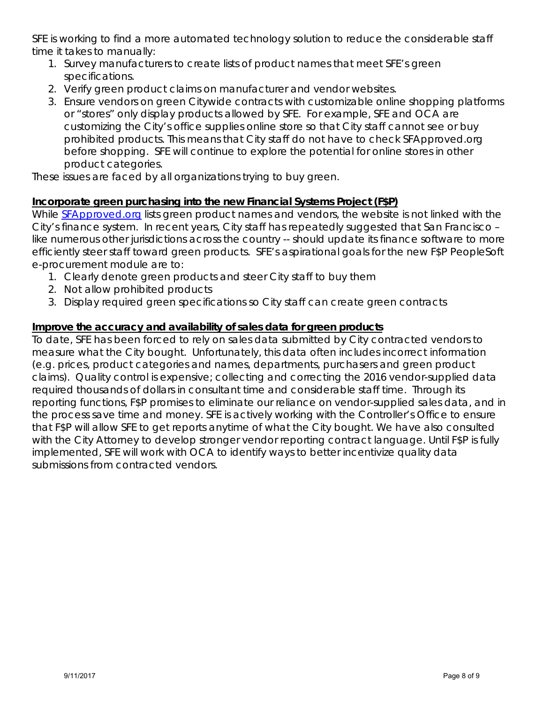SFE is working to find a more automated technology solution to reduce the considerable staff time it takes to manually:

- 1. Survey manufacturers to create lists of product names that meet SFE's green specifications.
- 2. Verify green product claims on manufacturer and vendor websites.
- 3. Ensure vendors on green Citywide contracts with customizable online shopping platforms or "stores" only display products allowed by SFE. For example, SFE and OCA are customizing the City's office supplies online store so that City staff cannot see or buy prohibited products. This means that City staff do not have to check SFApproved.org before shopping. SFE will continue to explore the potential for online stores in other product categories.

These issues are faced by all organizations trying to buy green.

# **Incorporate green purchasing into the new Financial Systems Project (F\$P)**

While **SFApproved.org** lists green product names and vendors, the website is not linked with the City's finance system. In recent years, City staff has repeatedly suggested that San Francisco – like numerous other jurisdictions across the country -- should update its finance software to more efficiently steer staff toward green products. SFE's aspirational goals for the new F\$P PeopleSoft e-procurement module are to:

- 1. Clearly denote green products and steer City staff to buy them
- 2. Not allow prohibited products
- 3. Display required green specifications so City staff can create green contracts

# **Improve the accuracy and availability of sales data for green products**

To date, SFE has been forced to rely on sales data submitted by City contracted vendors to measure what the City bought. Unfortunately, this data often includes incorrect information (e.g. prices, product categories and names, departments, purchasers and green product claims). Quality control is expensive; collecting and correcting the 2016 vendor-supplied data required thousands of dollars in consultant time and considerable staff time. Through its reporting functions, F\$P promises to eliminate our reliance on vendor-supplied sales data, and in the process save time and money. SFE is actively working with the Controller's Office to ensure that F\$P will allow SFE to get reports anytime of what the City bought. We have also consulted with the City Attorney to develop stronger vendor reporting contract language. Until F\$P is fully implemented, SFE will work with OCA to identify ways to better incentivize quality data submissions from contracted vendors.